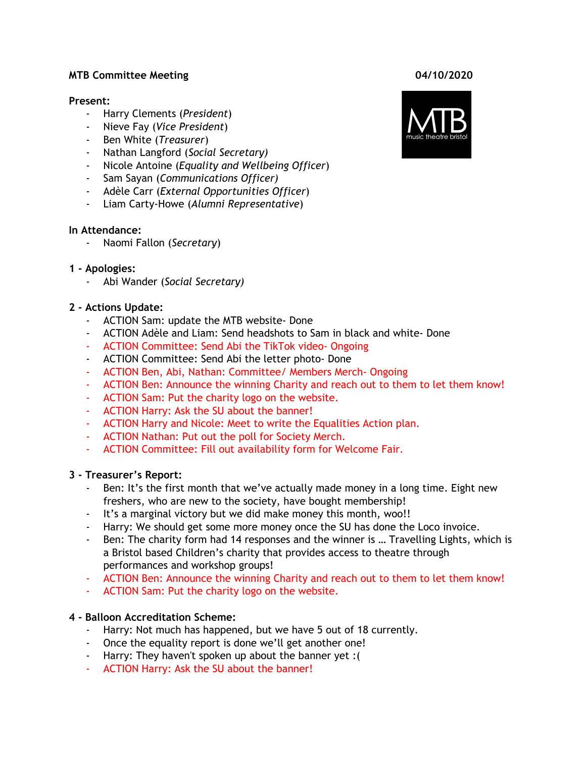#### **MTB Committee Meeting 04/10/2020**

#### **Present:**

- Harry Clements (*President*)
- Nieve Fay (*Vice President*)
- Ben White (*Treasurer*)
- Nathan Langford (*Social Secretary)*
- *-* Nicole Antoine (*Equality and Wellbeing Officer*)
- Sam Sayan (*Communications Officer)*
- Adèle Carr (*External Opportunities Officer*)
- Liam Carty-Howe (*Alumni Representative*)

#### **In Attendance:**

- Naomi Fallon (*Secretary*)

#### **1 - Apologies:**

- Abi Wander (*Social Secretary)*

## **2 - Actions Update:**

- ACTION Sam: update the MTB website- Done
- ACTION Adèle and Liam: Send headshots to Sam in black and white- Done
- ACTION Committee: Send Abi the TikTok video- Ongoing
- ACTION Committee: Send Abi the letter photo- Done
- ACTION Ben, Abi, Nathan: Committee/ Members Merch- Ongoing
- ACTION Ben: Announce the winning Charity and reach out to them to let them know!
- ACTION Sam: Put the charity logo on the website.
- ACTION Harry: Ask the SU about the banner!
- ACTION Harry and Nicole: Meet to write the Equalities Action plan.
- ACTION Nathan: Put out the poll for Society Merch.
- ACTION Committee: Fill out availability form for Welcome Fair.

## **3 - Treasurer's Report:**

- Ben: It's the first month that we've actually made money in a long time. Eight new freshers, who are new to the society, have bought membership!
- It's a marginal victory but we did make money this month, woo!!
- Harry: We should get some more money once the SU has done the Loco invoice.
- Ben: The charity form had 14 responses and the winner is ... Travelling Lights, which is a Bristol based Children's charity that provides access to theatre through performances and workshop groups!
- ACTION Ben: Announce the winning Charity and reach out to them to let them know!
- ACTION Sam: Put the charity logo on the website.

## **4 - Balloon Accreditation Scheme:**

- Harry: Not much has happened, but we have 5 out of 18 currently.
- Once the equality report is done we'll get another one!
- Harry: They haven't spoken up about the banner yet :(
- ACTION Harry: Ask the SU about the banner!

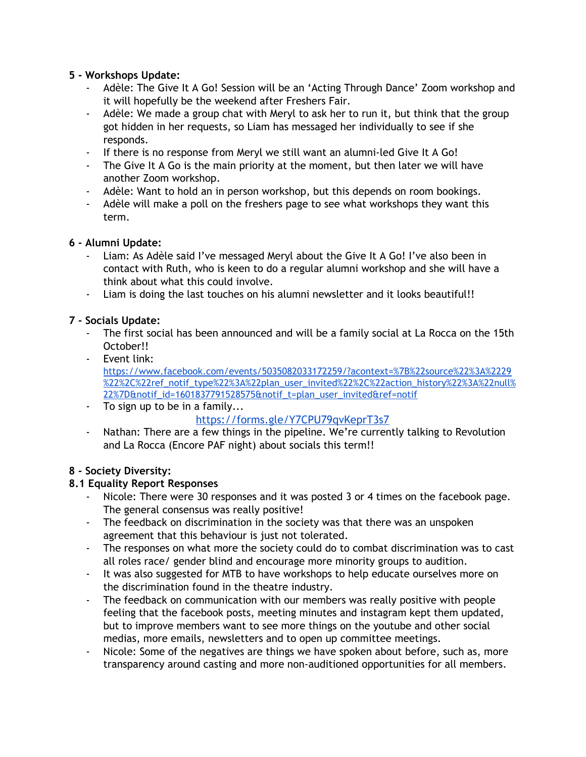## **5 - Workshops Update:**

- Adèle: The Give It A Go! Session will be an 'Acting Through Dance' Zoom workshop and it will hopefully be the weekend after Freshers Fair.
- Adèle: We made a group chat with Meryl to ask her to run it, but think that the group got hidden in her requests, so Liam has messaged her individually to see if she responds.
- If there is no response from Meryl we still want an alumni-led Give It A Go!
- The Give It A Go is the main priority at the moment, but then later we will have another Zoom workshop.
- Adèle: Want to hold an in person workshop, but this depends on room bookings.
- Adèle will make a poll on the freshers page to see what workshops they want this term.

## **6 - Alumni Update:**

- Liam: As Adèle said I've messaged Meryl about the Give It A Go! I've also been in contact with Ruth, who is keen to do a regular alumni workshop and she will have a think about what this could involve.
- Liam is doing the last touches on his alumni newsletter and it looks beautiful!!

# **7 - Socials Update:**

- The first social has been announced and will be a family social at La Rocca on the 15th October!!
- Event link: [https://www.facebook.com/events/5035082033172259/?acontext=%7B%22source%22%3A%2229](https://www.facebook.com/events/5035082033172259/?acontext=%7B%22source%22%3A%2229%22%2C%22ref_notif_type%22%3A%22plan_user_invited%22%2C%22action_history%22%3A%22null%22%7D¬if_id=1601837791528575¬if_t=plan_user_invited&ref=notif) [%22%2C%22ref\\_notif\\_type%22%3A%22plan\\_user\\_invited%22%2C%22action\\_history%22%3A%22null%](https://www.facebook.com/events/5035082033172259/?acontext=%7B%22source%22%3A%2229%22%2C%22ref_notif_type%22%3A%22plan_user_invited%22%2C%22action_history%22%3A%22null%22%7D¬if_id=1601837791528575¬if_t=plan_user_invited&ref=notif) [22%7D&notif\\_id=1601837791528575&notif\\_t=plan\\_user\\_invited&ref=notif](https://www.facebook.com/events/5035082033172259/?acontext=%7B%22source%22%3A%2229%22%2C%22ref_notif_type%22%3A%22plan_user_invited%22%2C%22action_history%22%3A%22null%22%7D¬if_id=1601837791528575¬if_t=plan_user_invited&ref=notif)
- To sign up to be in a family...

# [https://forms.gle/Y7CPU79qvKeprT3s7](https://forms.gle/Y7CPU79qvKeprT3s7?fbclid=IwAR2lEWCuzHgvBVUIAKuVoZk5j4ESYdSd_nvM6QBnWbhf9BVBylNZKU6Piv0)

- Nathan: There are a few things in the pipeline. We're currently talking to Revolution and La Rocca (Encore PAF night) about socials this term!!

## **8 - Society Diversity:**

## **8.1 Equality Report Responses**

- Nicole: There were 30 responses and it was posted 3 or 4 times on the facebook page. The general consensus was really positive!
- The feedback on discrimination in the society was that there was an unspoken agreement that this behaviour is just not tolerated.
- The responses on what more the society could do to combat discrimination was to cast all roles race/ gender blind and encourage more minority groups to audition.
- It was also suggested for MTB to have workshops to help educate ourselves more on the discrimination found in the theatre industry.
- The feedback on communication with our members was really positive with people feeling that the facebook posts, meeting minutes and instagram kept them updated, but to improve members want to see more things on the youtube and other social medias, more emails, newsletters and to open up committee meetings.
- Nicole: Some of the negatives are things we have spoken about before, such as, more transparency around casting and more non-auditioned opportunities for all members.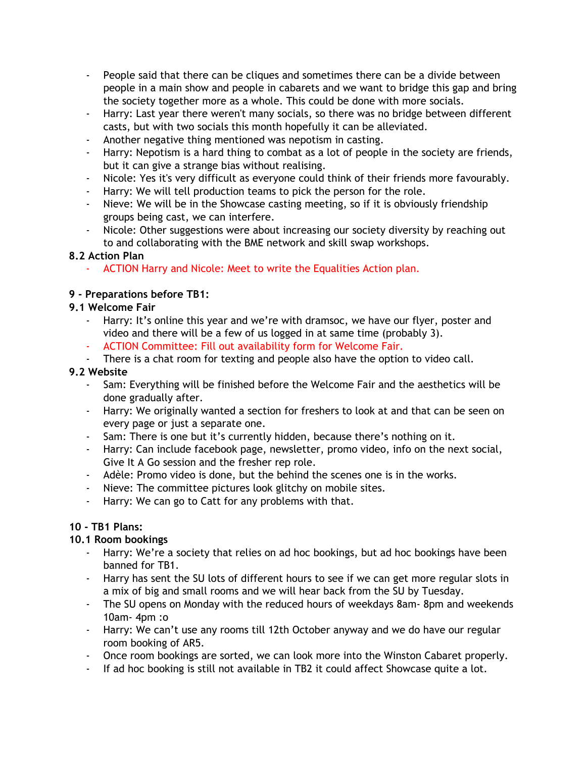- People said that there can be cliques and sometimes there can be a divide between people in a main show and people in cabarets and we want to bridge this gap and bring the society together more as a whole. This could be done with more socials.
- Harry: Last year there weren't many socials, so there was no bridge between different casts, but with two socials this month hopefully it can be alleviated.
- Another negative thing mentioned was nepotism in casting.
- Harry: Nepotism is a hard thing to combat as a lot of people in the society are friends, but it can give a strange bias without realising.
- Nicole: Yes it's very difficult as everyone could think of their friends more favourably.
- Harry: We will tell production teams to pick the person for the role.
- Nieve: We will be in the Showcase casting meeting, so if it is obviously friendship groups being cast, we can interfere.
- Nicole: Other suggestions were about increasing our society diversity by reaching out to and collaborating with the BME network and skill swap workshops.

## **8.2 Action Plan**

ACTION Harry and Nicole: Meet to write the Equalities Action plan.

## **9 - Preparations before TB1:**

## **9.1 Welcome Fair**

- Harry: It's online this year and we're with dramsoc, we have our flyer, poster and video and there will be a few of us logged in at same time (probably 3).
- ACTION Committee: Fill out availability form for Welcome Fair.
- There is a chat room for texting and people also have the option to video call.

## **9.2 Website**

- Sam: Everything will be finished before the Welcome Fair and the aesthetics will be done gradually after.
- Harry: We originally wanted a section for freshers to look at and that can be seen on every page or just a separate one.
- Sam: There is one but it's currently hidden, because there's nothing on it.
- Harry: Can include facebook page, newsletter, promo video, info on the next social, Give It A Go session and the fresher rep role.
- Adèle: Promo video is done, but the behind the scenes one is in the works.
- Nieve: The committee pictures look glitchy on mobile sites.
- Harry: We can go to Catt for any problems with that.

## **10 - TB1 Plans:**

## **10.1 Room bookings**

- Harry: We're a society that relies on ad hoc bookings, but ad hoc bookings have been banned for TB1.
- Harry has sent the SU lots of different hours to see if we can get more regular slots in a mix of big and small rooms and we will hear back from the SU by Tuesday.
- The SU opens on Monday with the reduced hours of weekdays 8am-8pm and weekends 10am- 4pm :o
- Harry: We can't use any rooms till 12th October anyway and we do have our regular room booking of AR5.
- Once room bookings are sorted, we can look more into the Winston Cabaret properly.
- If ad hoc booking is still not available in TB2 it could affect Showcase quite a lot.